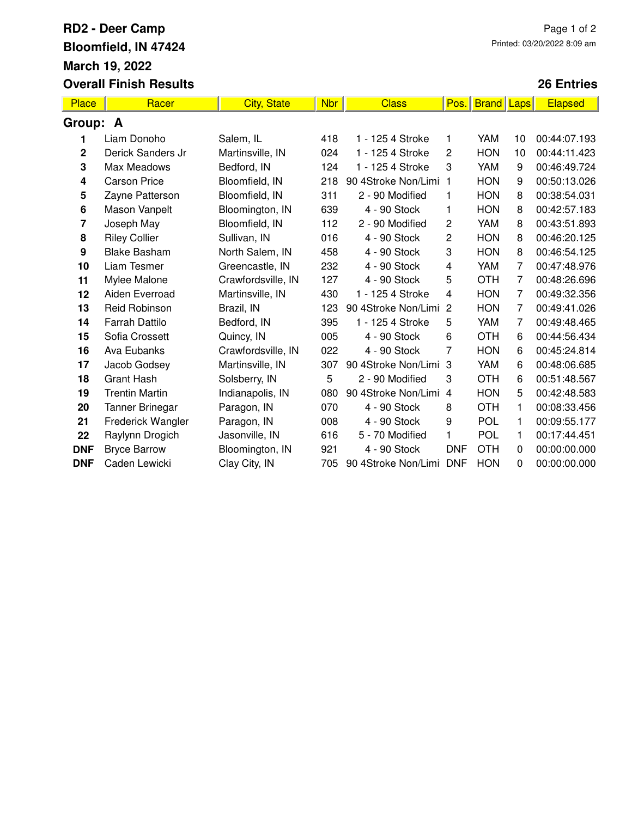## **RD2 - Deer Camp Bloomfield, IN 47424 March 19, 2022 Overall Finish Results**

## **26 Entries**

| Place        | Racer                 | <b>City, State</b> | Nbr | <b>Class</b>          | Pos.           | <b>Brand</b> Laps |    | Elapsed      |  |  |
|--------------|-----------------------|--------------------|-----|-----------------------|----------------|-------------------|----|--------------|--|--|
| Group:<br>A  |                       |                    |     |                       |                |                   |    |              |  |  |
| 1            | Liam Donoho           | Salem, IL          | 418 | 1 - 125 4 Stroke      | 1              | <b>YAM</b>        | 10 | 00:44:07.193 |  |  |
| $\mathbf{2}$ | Derick Sanders Jr     | Martinsville, IN   | 024 | 1 - 125 4 Stroke      | 2              | <b>HON</b>        | 10 | 00:44:11.423 |  |  |
| 3            | Max Meadows           | Bedford, IN        | 124 | 1 - 125 4 Stroke      | 3              | YAM               | 9  | 00:46:49.724 |  |  |
| 4            | <b>Carson Price</b>   | Bloomfield, IN     | 218 | 90 4Stroke Non/Limi 1 |                | <b>HON</b>        | 9  | 00:50:13.026 |  |  |
| 5            | Zayne Patterson       | Bloomfield, IN     | 311 | 2 - 90 Modified       | 1              | <b>HON</b>        | 8  | 00:38:54.031 |  |  |
| 6            | Mason Vanpelt         | Bloomington, IN    | 639 | 4 - 90 Stock          | 1              | <b>HON</b>        | 8  | 00:42:57.183 |  |  |
| 7            | Joseph May            | Bloomfield, IN     | 112 | 2 - 90 Modified       | $\overline{c}$ | YAM               | 8  | 00:43:51.893 |  |  |
| 8            | <b>Riley Collier</b>  | Sullivan, IN       | 016 | 4 - 90 Stock          | 2              | <b>HON</b>        | 8  | 00:46:20.125 |  |  |
| 9            | <b>Blake Basham</b>   | North Salem, IN    | 458 | 4 - 90 Stock          | 3              | <b>HON</b>        | 8  | 00:46:54.125 |  |  |
| 10           | Liam Tesmer           | Greencastle, IN    | 232 | 4 - 90 Stock          | 4              | YAM               | 7  | 00:47:48.976 |  |  |
| 11           | Mylee Malone          | Crawfordsville, IN | 127 | 4 - 90 Stock          | 5              | <b>OTH</b>        | 7  | 00:48:26.696 |  |  |
| 12           | Aiden Everroad        | Martinsville, IN   | 430 | 1 - 125 4 Stroke      | 4              | <b>HON</b>        | 7  | 00:49:32.356 |  |  |
| 13           | <b>Reid Robinson</b>  | Brazil, IN         | 123 | 90 4Stroke Non/Limi   | $\overline{2}$ | <b>HON</b>        | 7  | 00:49:41.026 |  |  |
| 14           | <b>Farrah Dattilo</b> | Bedford, IN        | 395 | 1 - 125 4 Stroke      | 5              | <b>YAM</b>        | 7  | 00:49:48.465 |  |  |
| 15           | Sofia Crossett        | Quincy, IN         | 005 | 4 - 90 Stock          | 6              | <b>OTH</b>        | 6  | 00:44:56.434 |  |  |
| 16           | Ava Eubanks           | Crawfordsville, IN | 022 | 4 - 90 Stock          | 7              | <b>HON</b>        | 6  | 00:45:24.814 |  |  |
| 17           | Jacob Godsey          | Martinsville, IN   | 307 | 90 4Stroke Non/Limi 3 |                | YAM               | 6  | 00:48:06.685 |  |  |
| 18           | <b>Grant Hash</b>     | Solsberry, IN      | 5   | 2 - 90 Modified       | 3              | <b>OTH</b>        | 6  | 00:51:48.567 |  |  |
| 19           | <b>Trentin Martin</b> | Indianapolis, IN   | 080 | 90 4Stroke Non/Limi 4 |                | <b>HON</b>        | 5  | 00:42:48.583 |  |  |
| 20           | Tanner Brinegar       | Paragon, IN        | 070 | 4 - 90 Stock          | 8              | <b>OTH</b>        | 1  | 00:08:33.456 |  |  |
| 21           | Frederick Wangler     | Paragon, IN        | 008 | 4 - 90 Stock          | 9              | <b>POL</b>        | 1  | 00:09:55.177 |  |  |
| 22           | Raylynn Drogich       | Jasonville, IN     | 616 | 5 - 70 Modified       | 1              | POL               | 1  | 00:17:44.451 |  |  |
| <b>DNF</b>   | <b>Bryce Barrow</b>   | Bloomington, IN    | 921 | 4 - 90 Stock          | <b>DNF</b>     | <b>OTH</b>        | 0  | 00:00:00.000 |  |  |
| <b>DNF</b>   | Caden Lewicki         | Clay City, IN      | 705 | 90 4Stroke Non/Limi   | <b>DNF</b>     | <b>HON</b>        | 0  | 00:00:00.000 |  |  |